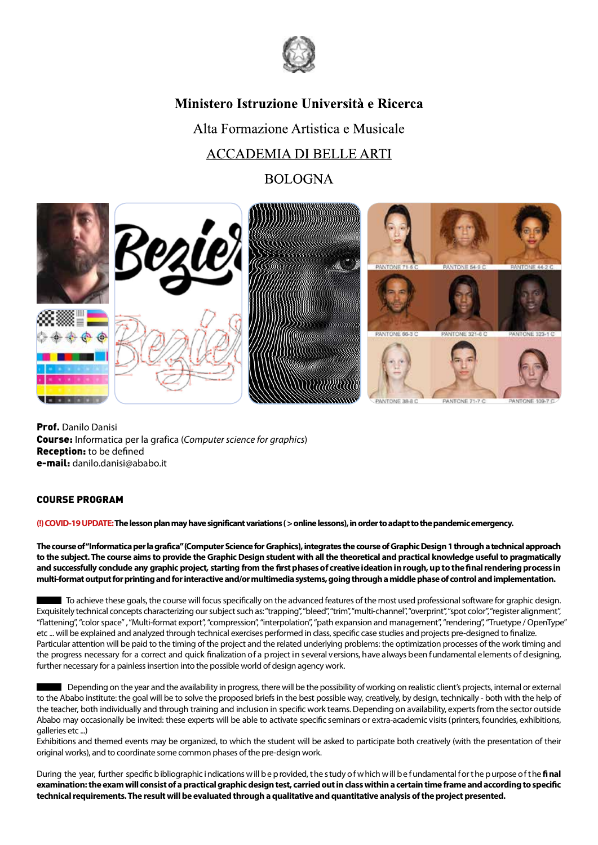

## Ministero Istruzione Università e Ricerca

Alta Formazione Artistica e Musicale

# **ACCADEMIA DI BELLE ARTI**

**BOLOGNA** 



Prof. Danilo Danisi Course: Informatica per la grafica (C*omputer science for graphics*) Reception: to be defined e-mail: danilo.danisi@ababo.it

### COURSE PROGRAM

**(!) COVID-19 UPDATE:The lesson plan may have significant variations ( > online lessons), in order to adapt to the pandemic emergency.**

**The course of "Informatica per la grafica" (Computer Science for Graphics), integrates the course of Graphic Design 1 through a technical approach to the subject. The course aims to provide the Graphic Design student with all the theoretical and practical knowledge useful to pragmatically and successfully conclude any graphic project, starting from the first phases of creative ideation in rough, up to the final rendering process in multi-format output for printing and for interactive and/or multimedia systems, going through a middle phase of control and implementation.**

To achieve these goals, the course will focus specifically on the advanced features of the most used professional software for graphic design. Exquisitely technical concepts characterizing our subjectsuch as: "trapping", "bleed", "trim", "multi-channel", "overprint", "spot color", "register alignment", "flattening","color space", "Multi-format export", "compression", "interpolation", "path expansion and management", "rendering", "Truetype / OpenType" etc ... will be explained and analyzed through technical exercises performed in class, specific case studies and projects pre-designed to finalize. Particular attention will be paid to the timing of the project and the related underlying problems: the optimization processes of the work timing and the progress necessary for a correct and quick finalization of a project in several versions, have always been fundamental elements of designing, further necessary for a painless insertion into the possible world of design agency work.

Depending on the year and the availability in progress, there will be the possibility of working on realistic client's projects, internal or external to the Ababo institute: the goal will be to solve the proposed briefs in the best possible way, creatively, by design, technically - both with the help of the teacher, both individually and through training and inclusion in specific work teams. Depending on availability, experts from the sector outside Ababo may occasionally be invited: these experts will be able to activate specific seminars or extra-academic visits (printers, foundries, exhibitions, galleries etc ...)

Exhibitions and themed events may be organized, to which the student will be asked to participate both creatively (with the presentation of their original works), and to coordinate some common phases of the pre-design work.

During the year, further specific b ibliographic indications w ill be provided, the study of w hich w ill be fundamental for the p urpose of the final **examination:the exam will consist of a practical graphic design test, carried out in class within a certain time frame and according to specific technical requirements. The result will be evaluated through a qualitative and quantitative analysis of the project presented.**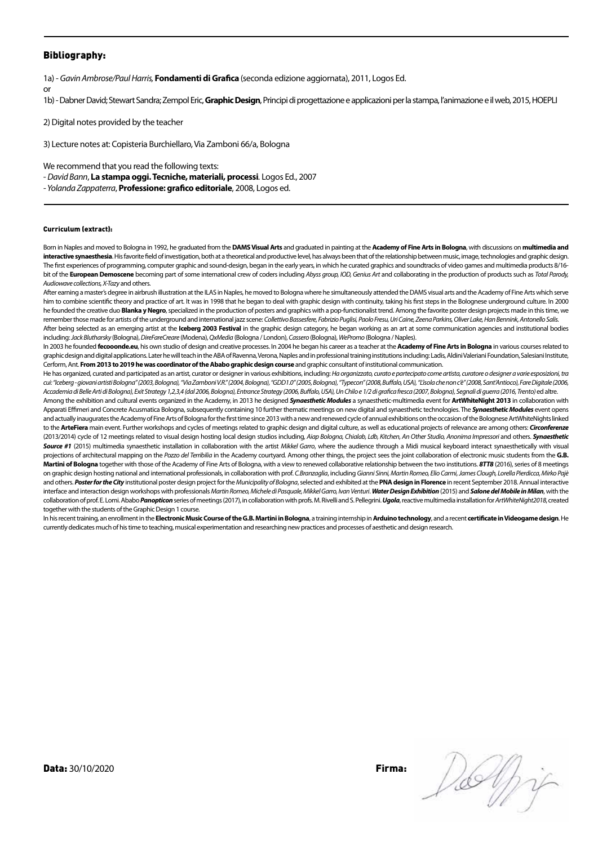#### Bibliography:

**o** 

1a) - *Gavin Ambrose/Paul Harris,* **Fondamenti di Grafica** (seconda edizione aggiornata), 2011, Logos Ed.

1b) - Dabner David; Stewart Sandra; Zempol Eric, **Graphic Design**, Principi di progettazione e applicazioni per la stampa, l'animazione e il web, 2015, HOEPLI

2) Digital notes provided by the teacher

3) Lecture notes at: Copisteria Burchiellaro, Via Zamboni 66/a, Bologna

We recommend that you read the following texts:

- *David Bann*, **La stampa oggi. Tecniche, materiali, processi***.* Logos Ed., 2007

*- Yolanda Zappaterra*, **Professione: grafico editoriale**, 2008, Logos ed.

#### Curriculum (extract):

Born in Naples and moved to Bologna in 1992, he graduated from the **DAMS Visual Arts** and graduated in painting at the **Academy of Fine Arts in Bologna**, with discussions on **multimedia and interactive synaesthesia**. His favorite field of investigation, both at a theoretical and productive level, has always been that of the relationship between music, image, technologies and graphic design. The first experiences of programming, computer graphic and sound-design, began in the early years, in which he curated graphics and soundtracks of video games and multimedia products 8/16 bit of the **European Demoscene** becoming part of some international crew of coders including *Abyss group, IOD, Genius Art* and collaborating in the production of products such as *Total Parody, Audiowave collections, X-Tazy* and others.

After earning a master's degree in airbrush illustration at the ILAS in Naples, he moved to Bologna where he simultaneously attended the DAMS visual arts and the Academy of Fine Arts which serve him to combine scientific theory and practice of art. It was in 1998 that he began to deal with graphic design with continuity, taking his first steps in the Bolognese underground culture. In 2000 he founded the creative duo **Blanka y Negro**, specialized in the production of posters and graphics with a pop-functionalist trend. Among the favorite poster design projects made in this time, we remember those made for artists of the underground and international jazz scene: *Collettivo Bassesfere, Fabrizio Puglisi, Paolo Fresu, Uri Caine, Zeena Parkins, Oliver Lake, Han Bennink, Antonello Salis.*  After being selected as an emerging artist at the **Iceberg 2003 Festival** in the graphic design category, he began working as an art at some communication agencies and institutional bodies including: *Jack Blutharsky* (Bologna), *DireFareCreare* (Modena), *QxMedia* (Bologna / London), *Cassero* (Bologna), *WePromo* (Bologna / Naples).

In 2003 he founded **fecooonde.eu**, his own studio of design and creative processes. In 2004 he began his career as a teacher at the **Academy of Fine Arts in Bologna** in various courses related to graphic design and digital applications. Later he will teach in the ABA of Ravenna, Verona, Naples and in professional training institutions including: Ladis, Aldini Valeriani Foundation, Salesiani Institute, Cerform, Ant. **From 2013 to 2019 he was coordinator of the Ababo graphic design course** and graphic consultant of institutional communication.

He has organized, curated and participated as an artist, curator or designer in various exhibitions, including: *Ha organizzato, curato e partecipato come artista, curatore o designer a varie esposizioni, tra cui: "Iceberg - giovani artisti Bologna" (2003, Bologna), "Via Zamboni V.R." (2004, Bologna), "GDD1.0" (2005, Bologna), "Typecon" (2008, Buffalo, USA), "L'isola che non c'è" (2008, Sant'Antioco), Fare Digitale (2006, Accademia di Belle Arti di Bologna), Exit Strategy 1,2,3,4 (dal 2006, Bologna), Entrance Strategy (2006, Buffalo, USA), Un Chilo e 1/2 di grafica fresca (2007, Bologna), Segnali di guerra (2016, Trento)* ed altre.

Among the exhibition and cultural events organized in the Academy, in 2013 he designed *Synaesthetic Modules* a synaesthetic-multimedia event for **ArtWhiteNight 2013** in collaboration with Apparati Effimeri and Concrete Acusmatica Bologna, subsequently containing 10 further thematic meetings on new digital and synaesthetic technologies. The *Synaesthetic Modules* event opens and actually inaugurates the Academy of Fine Arts of Bologna for the first time since 2013 with a new and renewed cycle of annual exhibitions on the occasion of the Bolognese ArtWhiteNights linked to the **ArteFiera** main event. Further workshops and cycles of meetings related to graphic design and digital culture, as well as educational projects of relevance are among others: *Circonferenze*  (2013/2014) cycle of 12 meetings related to visual design hosting local design studios including, *Aiap Bologna*, *Chialab, Ldb, Kitchen, An Other Studio*, Anonima Impressori and others. **Synaesthetic** Source #1 (2015) multimedia synaesthetic installation in collaboration with the artist *Mikkel Garro*, where the audience through a Midi musical keyboard interact synaesthetically with visual projections of architectural mapping on the *Pozzo del Terribilia* in the Academy courtyard. Among other things, the project sees the joint collaboration of electronic music students from the **G.B. Martini of Bologna** together with those of the Academy of Fine Arts of Bologna, with a view to renewed collaborative relationship between the two institutions. *8TT8* (2016), series of 8 meetings on graphic design hosting national and international professionals, in collaboration with prof. *C.Branzaglia*, including *Gianni Sinni, Martin Romeo, Elio Carmi, James Clough, Lorella Pierdicca, Mirko Pajè* and others. *Poster for the City* institutional poster design project for the *Municipality of Bologna*, selected and exhibited at the **PNA design in Florence** in recent September 2018. Annual interactive interface and interaction design workshops with professionals *Martin Romeo, Michele di Pasquale, Mikkel Garro, Ivan Venturi*. *Water Design Exhibition* (2015) and *Salone del Mobile in Milan*, with the collaboration of prof. E. Lomi. Ababo Panopticon series of meetings (2017), in collaboration with profs. M. Rivelli and S. Pellegrini. Ugola, reactive multimedia installation for ArtWhiteNight2018, created together with the students of the Graphic Design 1 course.

In his recent training, an enrollment in the **Electronic Music Course of the G.B. Martini in Bologna**, a training internship in **Arduino technology**, and a recent **certificate in Videogame design**. He currently dedicates much of his time to teaching, musical experimentation and researching new practices and processes of aesthetic and design research.

Data: 30/10/2020 Firma:

Delfi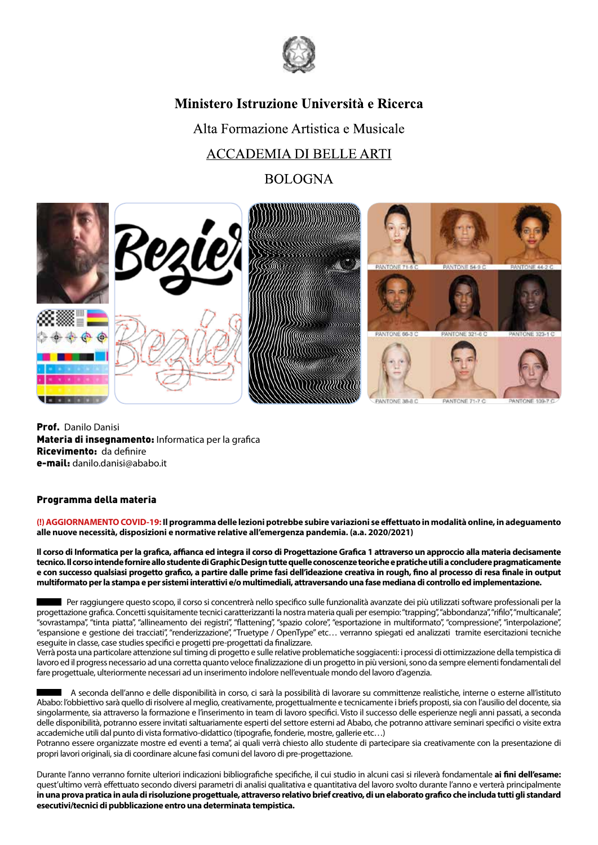

## Ministero Istruzione Università e Ricerca

Alta Formazione Artistica e Musicale

# **ACCADEMIA DI BELLE ARTI**

**BOLOGNA** 



Prof. Danilo Danisi Materia di insegnamento: Informatica per la grafica Ricevimento: da definire e-mail: danilo.danisi@ababo.it

### Programma della materia

**(!) AGGIORNAMENTO COVID-19: Il programma delle lezioni potrebbe subire variazioni se effettuato in modalità online, in adeguamento alle nuove necessità, disposizioni e normative relative all'emergenza pandemia. (a.a. 2020/2021)**

**Il corso di Informatica per la grafica, affianca ed integra il corso di Progettazione Grafica 1 attraverso un approccio alla materia decisamente tecnico. Il corso intende fornire allo studente di Graphic Design tutte quelle conoscenze teoriche e pratiche utili a concludere pragmaticamente e con successo qualsiasi progetto grafico, a partire dalle prime fasi dell'ideazione creativa in rough, fino al processo di resa finale in output multiformato per la stampa e per sistemi interattivi e/o multimediali, attraversando una fase mediana di controllo ed implementazione.**

 Per raggiungere questo scopo, il corso si concentrerà nello specifico sulle funzionalità avanzate dei più utilizzati software professionali per la progettazione grafica. Concetti squisitamente tecnici caratterizzanti la nostra materia quali per esempio: "trapping", "abbondanza", "rifilo", "multicanale", "sovrastampa", "tinta piatta", "allineamento dei registri", "flattening", "spazio colore", "esportazione in multiformato", "compressione", "interpolazione", "espansione e gestione dei tracciati", "renderizzazione", "Truetype / OpenType" etc… verranno spiegati ed analizzati tramite esercitazioni tecniche eseguite in classe, case studies specifici e progetti pre-progettati da finalizzare.

Verrà posta una particolare attenzione sul timing di progetto e sulle relative problematiche soggiacenti: i processi di ottimizzazione della tempistica di lavoro ed il progress necessario ad una corretta quanto veloce finalizzazione di un progetto in più versioni, sono da sempre elementi fondamentali del fare progettuale, ulteriormente necessari ad un inserimento indolore nell'eventuale mondo del lavoro d'agenzia.

 A seconda dell'anno e delle disponibilità in corso, ci sarà la possibilità di lavorare su committenze realistiche, interne o esterne all'istituto Ababo: l'obbiettivo sarà quello di risolvere al meglio, creativamente, progettualmente e tecnicamente i briefs proposti, sia con l'ausilio del docente, sia singolarmente, sia attraverso la formazione e l'inserimento in team di lavoro specifici. Visto il successo delle esperienze negli anni passati, a seconda delle disponibilità, potranno essere invitati saltuariamente esperti del settore esterni ad Ababo, che potranno attivare seminari specifici o visite extra accademiche utili dal punto di vista formativo-didattico (tipografie, fonderie, mostre, gallerie etc…)

Potranno essere organizzate mostre ed eventi a tema", ai quali verrà chiesto allo studente di partecipare sia creativamente con la presentazione di propri lavori originali, sia di coordinare alcune fasi comuni del lavoro di pre-progettazione.

Durante l'anno verranno fornite ulteriori indicazioni bibliografiche specifiche, il cui studio in alcuni casi si rileverà fondamentale **ai fini dell'esame:**  quest'ultimo verrà effettuato secondo diversi parametri di analisi qualitativa e quantitativa del lavoro svolto durante l'anno e verterà principalmente **in una prova pratica in aula di risoluzione progettuale, attraverso relativo brief creativo, di un elaborato grafico che includa tutti gli standard esecutivi/tecnici di pubblicazione entro una determinata tempistica.**